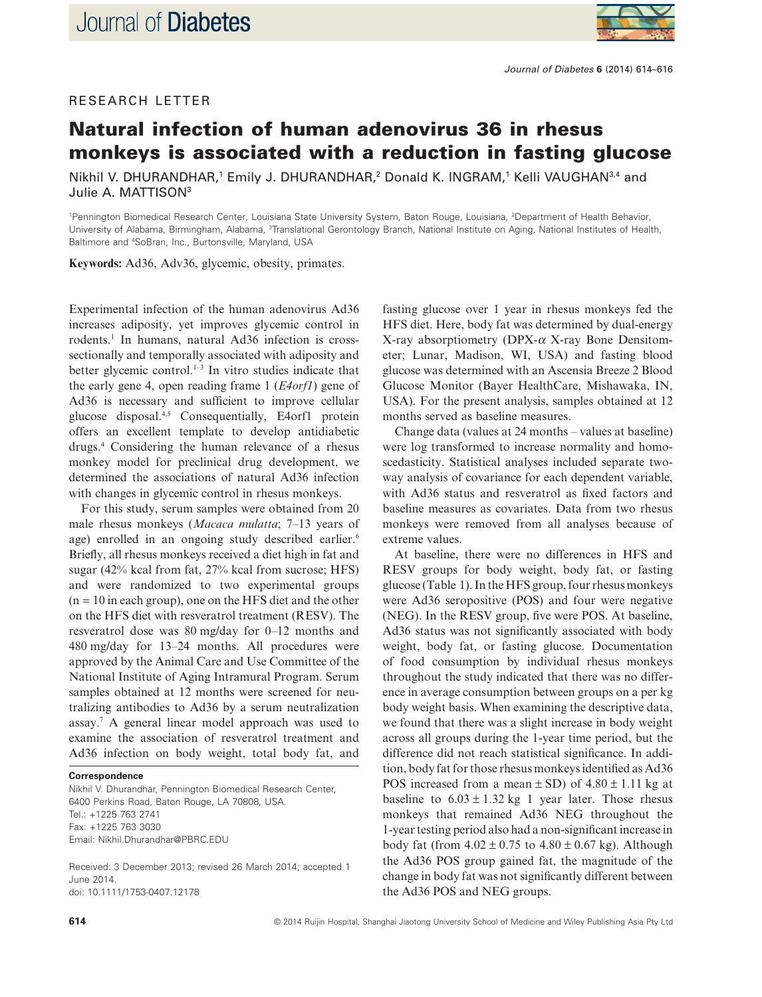



# **Natural infection of human adenovirus 36 in rhesus monkeys is associated with a reduction in fasting glucose**

Nikhil V. DHURANDHAR,<sup>1</sup> Emily J. DHURANDHAR,<sup>2</sup> Donald K. INGRAM,<sup>1</sup> Kelli VAUGHAN<sup>3,4</sup> and Julie A. MATTISON<sup>3</sup>

1 Pennington Biomedical Research Center, Louisiana State University System, Baton Rouge, Louisiana, <sup>2</sup> Department of Health Behavior, University of Alabama, Birmingham, Alabama, <sup>3</sup>Translational Gerontology Branch, National Institute on Aging, National Institutes of Health, Baltimore and <sup>4</sup> SoBran, Inc., Burtonsville, Maryland, USA

**Keywords:** Ad36, Adv36, glycemic, obesity, primates.

Experimental infection of the human adenovirus Ad36 increases adiposity, yet improves glycemic control in rodents.<sup>1</sup> In humans, natural Ad36 infection is crosssectionally and temporally associated with adiposity and better glycemic control. $1-3$  In vitro studies indicate that the early gene 4, open reading frame 1 (*E4orf1*) gene of Ad36 is necessary and sufficient to improve cellular glucose disposal.4,5 Consequentially, E4orf1 protein offers an excellent template to develop antidiabetic drugs.4 Considering the human relevance of a rhesus monkey model for preclinical drug development, we determined the associations of natural Ad36 infection with changes in glycemic control in rhesus monkeys.

For this study, serum samples were obtained from 20 male rhesus monkeys (*Macaca mulatta*; 7–13 years of age) enrolled in an ongoing study described earlier.<sup>6</sup> Briefly, all rhesus monkeys received a diet high in fat and sugar (42% kcal from fat, 27% kcal from sucrose; HFS) and were randomized to two experimental groups  $(n = 10$  in each group), one on the HFS diet and the other on the HFS diet with resveratrol treatment (RESV). The resveratrol dose was 80 mg/day for 0–12 months and 480 mg/day for 13–24 months. All procedures were approved by the Animal Care and Use Committee of the National Institute of Aging Intramural Program. Serum samples obtained at 12 months were screened for neutralizing antibodies to Ad36 by a serum neutralization assay.7 A general linear model approach was used to examine the association of resveratrol treatment and Ad36 infection on body weight, total body fat, and

#### **Correspondence**

Nikhil V. Dhurandhar, Pennington Biomedical Research Center, 6400 Perkins Road, Baton Rouge, LA 70808, USA. Tel.: +1225 763 2741 Fax: +1225 763 3030 Email: [Nikhil.Dhurandhar@PBRC.EDU](mailto:Nikhil.Dhurandhar@PBRC.EDU)

Received: 3 December 2013; revised 26 March 2014; accepted 1 June 2014. doi: 10.1111/1753-0407.12178

fasting glucose over 1 year in rhesus monkeys fed the HFS diet. Here, body fat was determined by dual-energy X-ray absorptiometry (DPX-*α* X-ray Bone Densitometer; Lunar, Madison, WI, USA) and fasting blood glucose was determined with an Ascensia Breeze 2 Blood Glucose Monitor (Bayer HealthCare, Mishawaka, IN, USA). For the present analysis, samples obtained at 12 months served as baseline measures.

Change data (values at 24 months – values at baseline) were log transformed to increase normality and homoscedasticity. Statistical analyses included separate twoway analysis of covariance for each dependent variable, with Ad36 status and resveratrol as fixed factors and baseline measures as covariates. Data from two rhesus monkeys were removed from all analyses because of extreme values.

At baseline, there were no differences in HFS and RESV groups for body weight, body fat, or fasting glucose (Table 1). In the HFS group, four rhesus monkeys were Ad36 seropositive (POS) and four were negative (NEG). In the RESV group, five were POS. At baseline, Ad36 status was not significantly associated with body weight, body fat, or fasting glucose. Documentation of food consumption by individual rhesus monkeys throughout the study indicated that there was no difference in average consumption between groups on a per kg body weight basis. When examining the descriptive data, we found that there was a slight increase in body weight across all groups during the 1-year time period, but the difference did not reach statistical significance. In addition, body fat for those rhesus monkeys identified as Ad36 POS increased from a mean  $\pm$  SD) of 4.80  $\pm$  1.11 kg at baseline to  $6.03 \pm 1.32$  kg 1 year later. Those rhesus monkeys that remained Ad36 NEG throughout the 1-year testing period also had a non-significant increase in body fat (from  $4.02 \pm 0.75$  to  $4.80 \pm 0.67$  kg). Although the Ad36 POS group gained fat, the magnitude of the change in body fat was not significantly different between the Ad36 POS and NEG groups.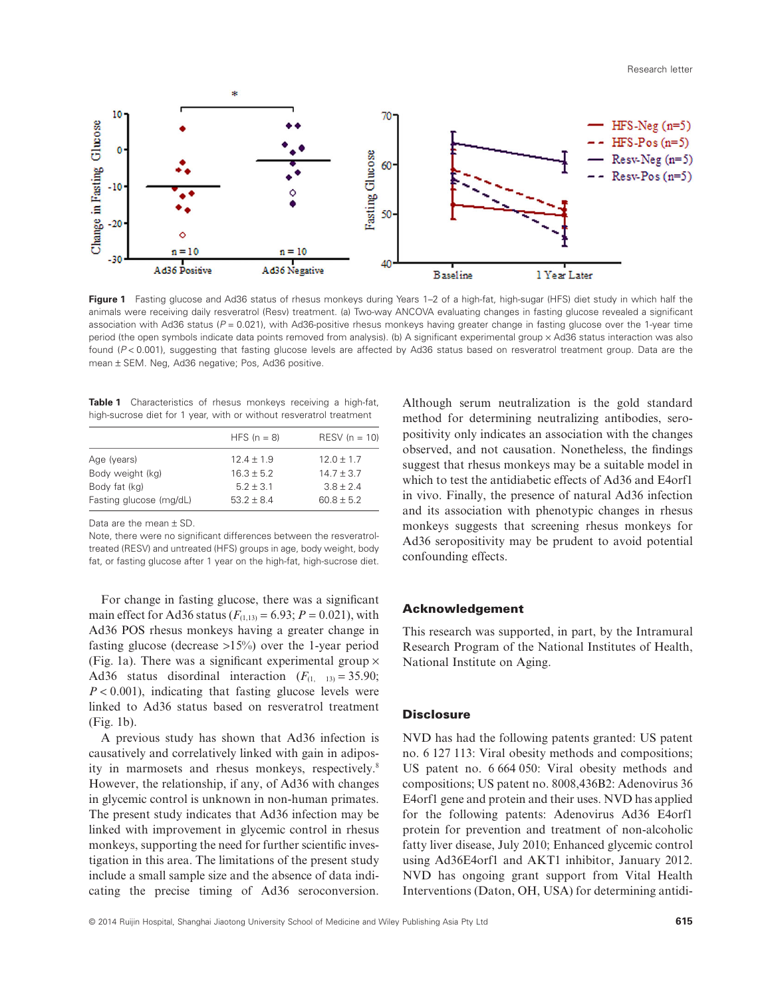Research letter



Figure 1 Fasting glucose and Ad36 status of rhesus monkeys during Years 1–2 of a high-fat, high-sugar (HFS) diet study in which half the animals were receiving daily resveratrol (Resv) treatment. (a) Two-way ANCOVA evaluating changes in fasting glucose revealed a significant association with Ad36 status ( $P = 0.021$ ), with Ad36-positive rhesus monkeys having greater change in fasting glucose over the 1-year time period (the open symbols indicate data points removed from analysis). (b) A significant experimental group × Ad36 status interaction was also found (P<0.001), suggesting that fasting glucose levels are affected by Ad36 status based on resveratrol treatment group. Data are the mean ± SEM. Neg, Ad36 negative; Pos, Ad36 positive.

| <b>Table 1</b> Characteristics of rhesus monkeys receiving a high-fat, |  |  |
|------------------------------------------------------------------------|--|--|
| high-sucrose diet for 1 year, with or without resveratrol treatment    |  |  |

|                         | HFS $(n = 8)$  | $RESV (n = 10)$ |
|-------------------------|----------------|-----------------|
| Age (years)             | $12.4 \pm 1.9$ | $12.0 \pm 1.7$  |
| Body weight (kg)        | $16.3 + 5.2$   | $14.7 \pm 3.7$  |
| Body fat (kg)           | $5.2 + 3.1$    | $3.8 + 2.4$     |
| Fasting glucose (mg/dL) | $53.2 + 8.4$   | $60.8 + 5.2$    |
|                         |                |                 |

Data are the mean ± SD.

Note, there were no significant differences between the resveratroltreated (RESV) and untreated (HFS) groups in age, body weight, body fat, or fasting glucose after 1 year on the high-fat, high-sucrose diet.

For change in fasting glucose, there was a significant main effect for Ad36 status  $(F_{(1,13)} = 6.93; P = 0.021)$ , with Ad36 POS rhesus monkeys having a greater change in fasting glucose (decrease >15%) over the 1-year period (Fig. 1a). There was a significant experimental group  $\times$ Ad36 status disordinal interaction  $(F_{(1,-13)} = 35.90;$ *P* < 0.001), indicating that fasting glucose levels were linked to Ad36 status based on resveratrol treatment (Fig. 1b).

A previous study has shown that Ad36 infection is causatively and correlatively linked with gain in adiposity in marmosets and rhesus monkeys, respectively.<sup>8</sup> However, the relationship, if any, of Ad36 with changes in glycemic control is unknown in non-human primates. The present study indicates that Ad36 infection may be linked with improvement in glycemic control in rhesus monkeys, supporting the need for further scientific investigation in this area. The limitations of the present study include a small sample size and the absence of data indicating the precise timing of Ad36 seroconversion. Although serum neutralization is the gold standard method for determining neutralizing antibodies, seropositivity only indicates an association with the changes observed, and not causation. Nonetheless, the findings suggest that rhesus monkeys may be a suitable model in which to test the antidiabetic effects of Ad36 and E4orf1 in vivo. Finally, the presence of natural Ad36 infection and its association with phenotypic changes in rhesus monkeys suggests that screening rhesus monkeys for Ad36 seropositivity may be prudent to avoid potential confounding effects.

### **Acknowledgement**

This research was supported, in part, by the Intramural Research Program of the National Institutes of Health, National Institute on Aging.

#### **Disclosure**

NVD has had the following patents granted: US patent no. 6 127 113: Viral obesity methods and compositions; US patent no. 6 664 050: Viral obesity methods and compositions; US patent no. 8008,436B2: Adenovirus 36 E4orf1 gene and protein and their uses. NVD has applied for the following patents: Adenovirus Ad36 E4orf1 protein for prevention and treatment of non-alcoholic fatty liver disease, July 2010; Enhanced glycemic control using Ad36E4orf1 and AKT1 inhibitor, January 2012. NVD has ongoing grant support from Vital Health Interventions (Daton, OH, USA) for determining antidi